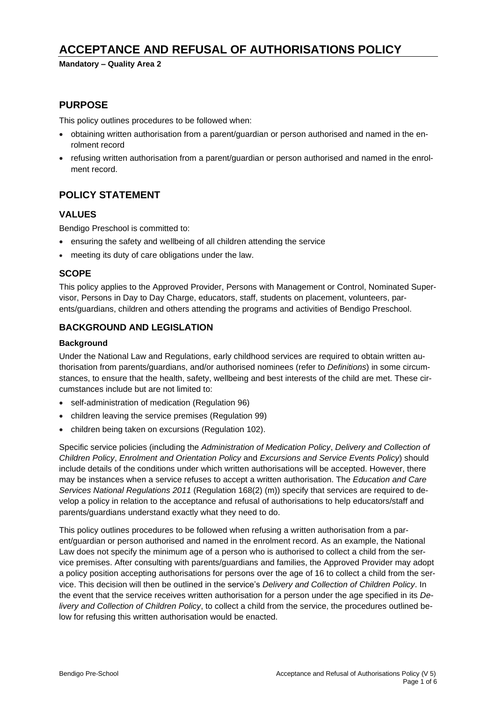# **ACCEPTANCE AND REFUSAL OF AUTHORISATIONS POLICY**

**Mandatory – Quality Area 2**

### **PURPOSE**

This policy outlines procedures to be followed when:

- obtaining written authorisation from a parent/guardian or person authorised and named in the enrolment record
- refusing written authorisation from a parent/guardian or person authorised and named in the enrolment record.

### **POLICY STATEMENT**

### **VALUES**

Bendigo Preschool is committed to:

- ensuring the safety and wellbeing of all children attending the service
- meeting its duty of care obligations under the law.

### **SCOPE**

This policy applies to the Approved Provider, Persons with Management or Control, Nominated Supervisor, Persons in Day to Day Charge, educators, staff, students on placement, volunteers, parents/guardians, children and others attending the programs and activities of Bendigo Preschool.

### **BACKGROUND AND LEGISLATION**

#### **Background**

Under the National Law and Regulations, early childhood services are required to obtain written authorisation from parents/guardians, and/or authorised nominees (refer to *Definitions*) in some circumstances, to ensure that the health, safety, wellbeing and best interests of the child are met. These circumstances include but are not limited to:

- self-administration of medication (Regulation 96)
- children leaving the service premises (Regulation 99)
- children being taken on excursions (Regulation 102).

Specific service policies (including the *Administration of Medication Policy*, *Delivery and Collection of Children Policy*, *Enrolment and Orientation Policy* and *Excursions and Service Events Policy*) should include details of the conditions under which written authorisations will be accepted. However, there may be instances when a service refuses to accept a written authorisation. The *Education and Care Services National Regulations 2011* (Regulation 168(2) (m)) specify that services are required to develop a policy in relation to the acceptance and refusal of authorisations to help educators/staff and parents/guardians understand exactly what they need to do.

This policy outlines procedures to be followed when refusing a written authorisation from a parent/guardian or person authorised and named in the enrolment record. As an example, the National Law does not specify the minimum age of a person who is authorised to collect a child from the service premises. After consulting with parents/guardians and families, the Approved Provider may adopt a policy position accepting authorisations for persons over the age of 16 to collect a child from the service. This decision will then be outlined in the service's *Delivery and Collection of Children Policy*. In the event that the service receives written authorisation for a person under the age specified in its *Delivery and Collection of Children Policy*, to collect a child from the service, the procedures outlined below for refusing this written authorisation would be enacted.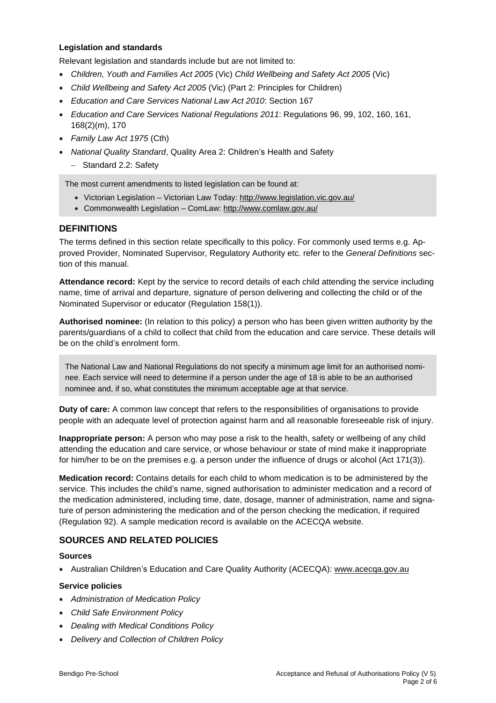#### **Legislation and standards**

Relevant legislation and standards include but are not limited to:

- *Children, Youth and Families Act 2005* (Vic) *Child Wellbeing and Safety Act 2005* (Vic)
- *Child Wellbeing and Safety Act 2005* (Vic) (Part 2: Principles for Children)
- *Education and Care Services National Law Act 2010*: Section 167
- *Education and Care Services National Regulations 2011*: Regulations 96, 99, 102, 160, 161, 168(2)(m), 170
- *Family Law Act 1975* (Cth)
- *National Quality Standard*, Quality Area 2: Children's Health and Safety
	- − Standard 2.2: Safety

The most current amendments to listed legislation can be found at:

- Victorian Legislation Victorian Law Today: <http://www.legislation.vic.gov.au/>
- Commonwealth Legislation ComLaw: <http://www.comlaw.gov.au/>

### **DEFINITIONS**

The terms defined in this section relate specifically to this policy. For commonly used terms e.g. Approved Provider, Nominated Supervisor, Regulatory Authority etc. refer to the *General Definitions* section of this manual.

**Attendance record:** Kept by the service to record details of each child attending the service including name, time of arrival and departure, signature of person delivering and collecting the child or of the Nominated Supervisor or educator (Regulation 158(1)).

**Authorised nominee:** (In relation to this policy) a person who has been given written authority by the parents/guardians of a child to collect that child from the education and care service. These details will be on the child's enrolment form.

The National Law and National Regulations do not specify a minimum age limit for an authorised nominee. Each service will need to determine if a person under the age of 18 is able to be an authorised nominee and, if so, what constitutes the minimum acceptable age at that service.

**Duty of care:** A common law concept that refers to the responsibilities of organisations to provide people with an adequate level of protection against harm and all reasonable foreseeable risk of injury.

**Inappropriate person:** A person who may pose a risk to the health, safety or wellbeing of any child attending the education and care service, or whose behaviour or state of mind make it inappropriate for him/her to be on the premises e.g. a person under the influence of drugs or alcohol (Act 171(3)).

**Medication record:** Contains details for each child to whom medication is to be administered by the service. This includes the child's name, signed authorisation to administer medication and a record of the medication administered, including time, date, dosage, manner of administration, name and signature of person administering the medication and of the person checking the medication, if required (Regulation 92). A sample medication record is available on the ACECQA website.

### **SOURCES AND RELATED POLICIES**

#### **Sources**

• Australian Children's Education and Care Quality Authority (ACECQA): [www.acecqa.gov.au](http://www.acecqa.gov.au/)

#### **Service policies**

- *Administration of Medication Policy*
- *Child Safe Environment Policy*
- *Dealing with Medical Conditions Policy*
- *Delivery and Collection of Children Policy*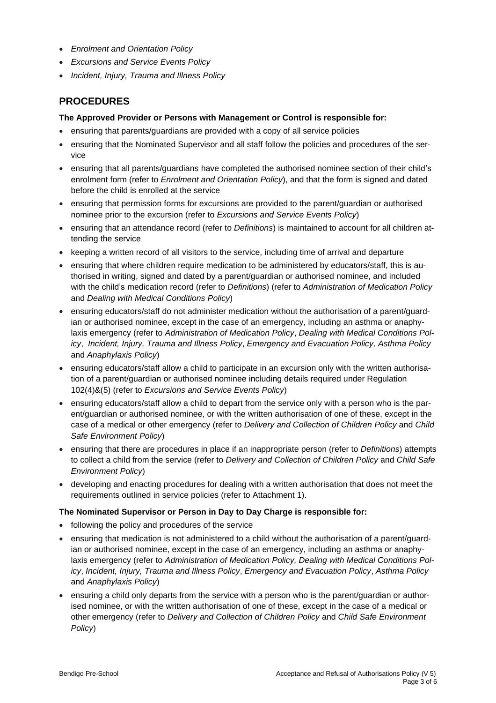- *Enrolment and Orientation Policy*
- *Excursions and Service Events Policy*
- *Incident, Injury, Trauma and Illness Policy*

## **PROCEDURES**

#### **The Approved Provider or Persons with Management or Control is responsible for:**

- ensuring that parents/guardians are provided with a copy of all service policies
- ensuring that the Nominated Supervisor and all staff follow the policies and procedures of the service
- ensuring that all parents/guardians have completed the authorised nominee section of their child's enrolment form (refer to *Enrolment and Orientation Policy*), and that the form is signed and dated before the child is enrolled at the service
- ensuring that permission forms for excursions are provided to the parent/guardian or authorised nominee prior to the excursion (refer to *Excursions and Service Events Policy*)
- ensuring that an attendance record (refer to *Definitions*) is maintained to account for all children attending the service
- keeping a written record of all visitors to the service, including time of arrival and departure
- ensuring that where children require medication to be administered by educators/staff, this is authorised in writing, signed and dated by a parent/guardian or authorised nominee, and included with the child's medication record (refer to *Definitions*) (refer to *Administration of Medication Policy* and *Dealing with Medical Conditions Policy*)
- ensuring educators/staff do not administer medication without the authorisation of a parent/guardian or authorised nominee, except in the case of an emergency, including an asthma or anaphylaxis emergency (refer to *Administration of Medication Policy*, *Dealing with Medical Conditions Policy*, *Incident, Injury, Trauma and Illness Policy*, *Emergency and Evacuation Policy, Asthma Policy* and *Anaphylaxis Policy*)
- ensuring educators/staff allow a child to participate in an excursion only with the written authorisation of a parent/guardian or authorised nominee including details required under Regulation 102(4)&(5) (refer to *Excursions and Service Events Policy*)
- ensuring educators/staff allow a child to depart from the service only with a person who is the parent/guardian or authorised nominee, or with the written authorisation of one of these, except in the case of a medical or other emergency (refer to *Delivery and Collection of Children Policy* and *Child Safe Environment Policy*)
- ensuring that there are procedures in place if an inappropriate person (refer to *Definitions*) attempts to collect a child from the service (refer to *Delivery and Collection of Children Policy* and *Child Safe Environment Policy*)
- developing and enacting procedures for dealing with a written authorisation that does not meet the requirements outlined in service policies (refer to Attachment 1).

#### **The Nominated Supervisor or Person in Day to Day Charge is responsible for:**

- following the policy and procedures of the service
- ensuring that medication is not administered to a child without the authorisation of a parent/guardian or authorised nominee, except in the case of an emergency, including an asthma or anaphylaxis emergency (refer to *Administration of Medication Policy, Dealing with Medical Conditions Policy*, *Incident, Injury, Trauma and Illness Policy*, *Emergency and Evacuation Policy*, *Asthma Policy* and *Anaphylaxis Policy*)
- ensuring a child only departs from the service with a person who is the parent/guardian or authorised nominee, or with the written authorisation of one of these, except in the case of a medical or other emergency (refer to *Delivery and Collection of Children Policy* and *Child Safe Environment Policy*)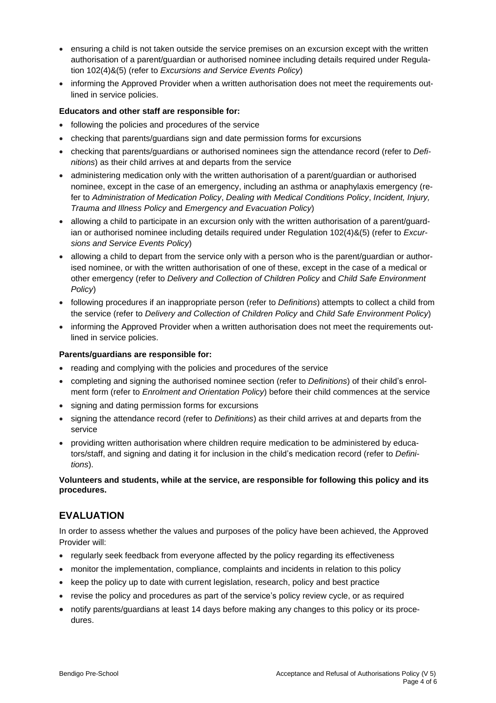- ensuring a child is not taken outside the service premises on an excursion except with the written authorisation of a parent/guardian or authorised nominee including details required under Regulation 102(4)&(5) (refer to *Excursions and Service Events Policy*)
- informing the Approved Provider when a written authorisation does not meet the requirements outlined in service policies.

### **Educators and other staff are responsible for:**

- following the policies and procedures of the service
- checking that parents/guardians sign and date permission forms for excursions
- checking that parents/guardians or authorised nominees sign the attendance record (refer to *Definitions*) as their child arrives at and departs from the service
- administering medication only with the written authorisation of a parent/guardian or authorised nominee, except in the case of an emergency, including an asthma or anaphylaxis emergency (refer to *Administration of Medication Policy*, *Dealing with Medical Conditions Policy*, *Incident, Injury, Trauma and Illness Policy* and *Emergency and Evacuation Policy*)
- allowing a child to participate in an excursion only with the written authorisation of a parent/guardian or authorised nominee including details required under Regulation 102(4)&(5) (refer to *Excursions and Service Events Policy*)
- allowing a child to depart from the service only with a person who is the parent/guardian or authorised nominee, or with the written authorisation of one of these, except in the case of a medical or other emergency (refer to *Delivery and Collection of Children Policy* and *Child Safe Environment Policy*)
- following procedures if an inappropriate person (refer to *Definitions*) attempts to collect a child from the service (refer to *Delivery and Collection of Children Policy* and *Child Safe Environment Policy*)
- informing the Approved Provider when a written authorisation does not meet the requirements outlined in service policies.

### **Parents/guardians are responsible for:**

- reading and complying with the policies and procedures of the service
- completing and signing the authorised nominee section (refer to *Definitions*) of their child's enrolment form (refer to *Enrolment and Orientation Policy*) before their child commences at the service
- signing and dating permission forms for excursions
- signing the attendance record (refer to *Definitions*) as their child arrives at and departs from the service
- providing written authorisation where children require medication to be administered by educators/staff, and signing and dating it for inclusion in the child's medication record (refer to *Definitions*).

### **Volunteers and students, while at the service, are responsible for following this policy and its procedures.**

### **EVALUATION**

In order to assess whether the values and purposes of the policy have been achieved, the Approved Provider will:

- regularly seek feedback from everyone affected by the policy regarding its effectiveness
- monitor the implementation, compliance, complaints and incidents in relation to this policy
- keep the policy up to date with current legislation, research, policy and best practice
- revise the policy and procedures as part of the service's policy review cycle, or as required
- notify parents/guardians at least 14 days before making any changes to this policy or its procedures.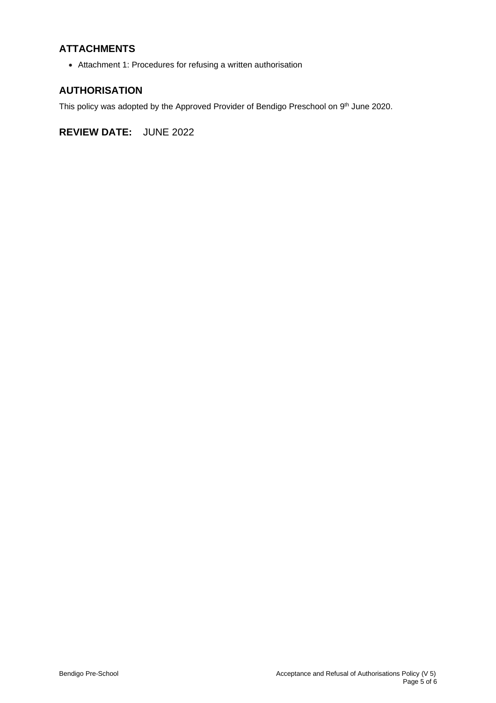# **ATTACHMENTS**

• Attachment 1: Procedures for refusing a written authorisation

### **AUTHORISATION**

This policy was adopted by the Approved Provider of Bendigo Preschool on 9<sup>th</sup> June 2020.

**REVIEW DATE:** JUNE 2022